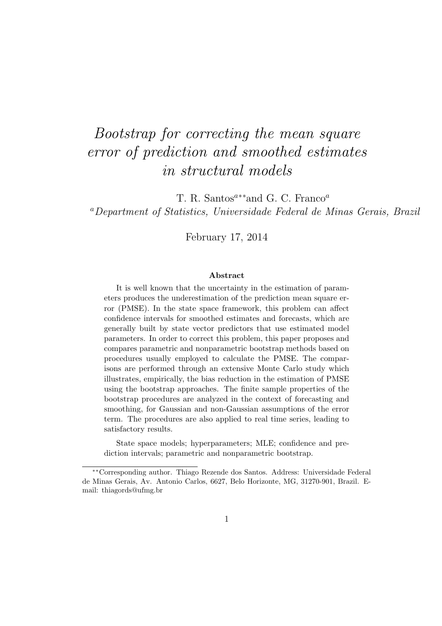# Bootstrap for correcting the mean square error of prediction and smoothed estimates in structural models

T. R. Santos<sup> $a**$ </sup>and G. C. Franco<sup> $a$ </sup>

<sup>a</sup>Department of Statistics, Universidade Federal de Minas Gerais, Brazil

February 17, 2014

#### Abstract

It is well known that the uncertainty in the estimation of parameters produces the underestimation of the prediction mean square error (PMSE). In the state space framework, this problem can affect confidence intervals for smoothed estimates and forecasts, which are generally built by state vector predictors that use estimated model parameters. In order to correct this problem, this paper proposes and compares parametric and nonparametric bootstrap methods based on procedures usually employed to calculate the PMSE. The comparisons are performed through an extensive Monte Carlo study which illustrates, empirically, the bias reduction in the estimation of PMSE using the bootstrap approaches. The finite sample properties of the bootstrap procedures are analyzed in the context of forecasting and smoothing, for Gaussian and non-Gaussian assumptions of the error term. The procedures are also applied to real time series, leading to satisfactory results.

State space models; hyperparameters; MLE; confidence and prediction intervals; parametric and nonparametric bootstrap.

<sup>∗∗</sup>Corresponding author. Thiago Rezende dos Santos. Address: Universidade Federal de Minas Gerais, Av. Antonio Carlos, 6627, Belo Horizonte, MG, 31270-901, Brazil. Email: thiagords@ufmg.br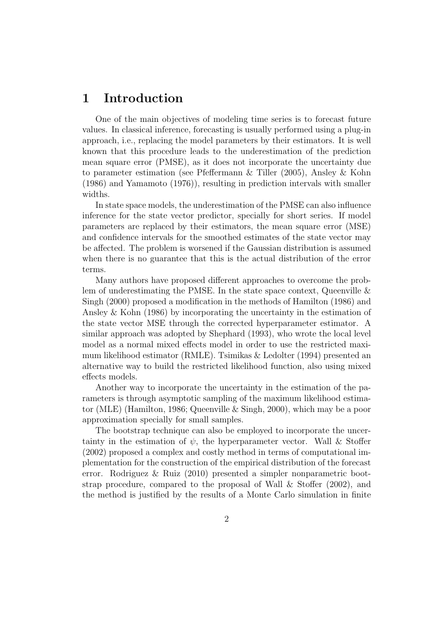## 1 Introduction

One of the main objectives of modeling time series is to forecast future values. In classical inference, forecasting is usually performed using a plug-in approach, i.e., replacing the model parameters by their estimators. It is well known that this procedure leads to the underestimation of the prediction mean square error (PMSE), as it does not incorporate the uncertainty due to parameter estimation (see Pfeffermann & Tiller (2005), Ansley & Kohn (1986) and Yamamoto (1976)), resulting in prediction intervals with smaller widths.

In state space models, the underestimation of the PMSE can also influence inference for the state vector predictor, specially for short series. If model parameters are replaced by their estimators, the mean square error (MSE) and confidence intervals for the smoothed estimates of the state vector may be affected. The problem is worsened if the Gaussian distribution is assumed when there is no guarantee that this is the actual distribution of the error terms.

Many authors have proposed different approaches to overcome the problem of underestimating the PMSE. In the state space context, Queenville & Singh (2000) proposed a modification in the methods of Hamilton (1986) and Ansley & Kohn (1986) by incorporating the uncertainty in the estimation of the state vector MSE through the corrected hyperparameter estimator. A similar approach was adopted by Shephard (1993), who wrote the local level model as a normal mixed effects model in order to use the restricted maximum likelihood estimator (RMLE). Tsimikas & Ledolter (1994) presented an alternative way to build the restricted likelihood function, also using mixed effects models.

Another way to incorporate the uncertainty in the estimation of the parameters is through asymptotic sampling of the maximum likelihood estimator (MLE) (Hamilton, 1986; Queenville & Singh, 2000), which may be a poor approximation specially for small samples.

The bootstrap technique can also be employed to incorporate the uncertainty in the estimation of  $\psi$ , the hyperparameter vector. Wall & Stoffer (2002) proposed a complex and costly method in terms of computational implementation for the construction of the empirical distribution of the forecast error. Rodriguez & Ruiz (2010) presented a simpler nonparametric bootstrap procedure, compared to the proposal of Wall & Stoffer (2002), and the method is justified by the results of a Monte Carlo simulation in finite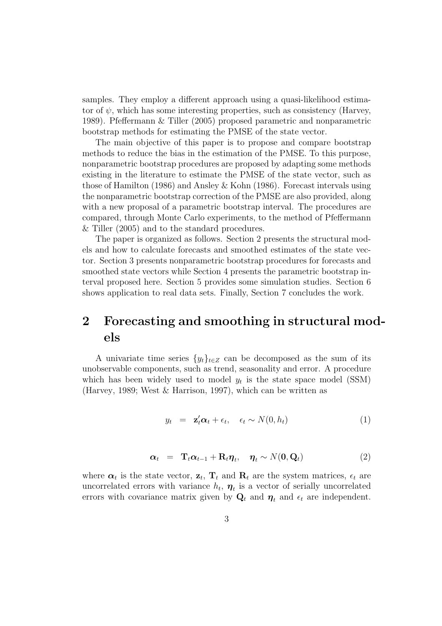samples. They employ a different approach using a quasi-likelihood estimator of  $\psi$ , which has some interesting properties, such as consistency (Harvey, 1989). Pfeffermann & Tiller (2005) proposed parametric and nonparametric bootstrap methods for estimating the PMSE of the state vector.

The main objective of this paper is to propose and compare bootstrap methods to reduce the bias in the estimation of the PMSE. To this purpose, nonparametric bootstrap procedures are proposed by adapting some methods existing in the literature to estimate the PMSE of the state vector, such as those of Hamilton (1986) and Ansley & Kohn (1986). Forecast intervals using the nonparametric bootstrap correction of the PMSE are also provided, along with a new proposal of a parametric bootstrap interval. The procedures are compared, through Monte Carlo experiments, to the method of Pfeffermann & Tiller (2005) and to the standard procedures.

The paper is organized as follows. Section 2 presents the structural models and how to calculate forecasts and smoothed estimates of the state vector. Section 3 presents nonparametric bootstrap procedures for forecasts and smoothed state vectors while Section 4 presents the parametric bootstrap interval proposed here. Section 5 provides some simulation studies. Section 6 shows application to real data sets. Finally, Section 7 concludes the work.

## 2 Forecasting and smoothing in structural models

A univariate time series  $\{y_t\}_{t\in\mathbb{Z}}$  can be decomposed as the sum of its unobservable components, such as trend, seasonality and error. A procedure which has been widely used to model  $y_t$  is the state space model (SSM) (Harvey, 1989; West & Harrison, 1997), which can be written as

$$
y_t = \mathbf{z}_t' \boldsymbol{\alpha}_t + \epsilon_t, \quad \epsilon_t \sim N(0, h_t)
$$
 (1)

$$
\alpha_t = \mathbf{T}_t \alpha_{t-1} + \mathbf{R}_t \eta_t, \quad \eta_t \sim N(\mathbf{0}, \mathbf{Q}_t)
$$
 (2)

where  $\boldsymbol{\alpha}_t$  is the state vector,  $\mathbf{z}_t$ ,  $\mathbf{T}_t$  and  $\mathbf{R}_t$  are the system matrices,  $\epsilon_t$  are uncorrelated errors with variance  $h_t$ ,  $\eta_t$  is a vector of serially uncorrelated errors with covariance matrix given by  $\mathbf{Q}_t$  and  $\boldsymbol{\eta}_t$  and  $\epsilon_t$  are independent.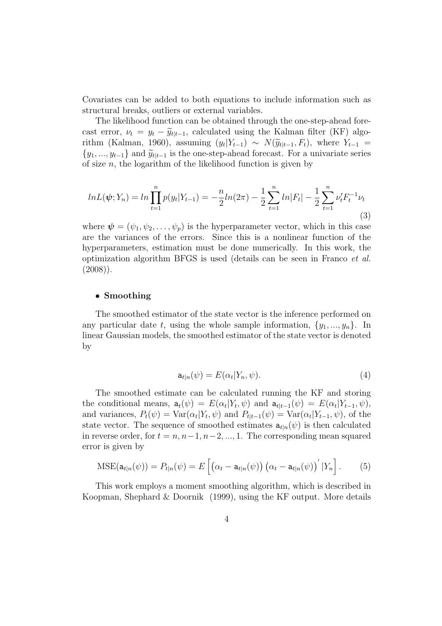Covariates can be added to both equations to include information such as structural breaks, outliers or external variables.

The likelihood function can be obtained through the one-step-ahead forecast error,  $\nu_t = y_t - \widetilde{y}_{t|t-1}$ , calculated using the Kalman filter (KF) algorithm (Kalman, 1960), assuming  $(y_t|Y_{t-1}) \sim N(\widetilde{y}_{t|t-1}, F_t)$ , where  $Y_{t-1} =$  $\{y_1, ..., y_{t-1}\}\$ and  $\widetilde{y}_{t|t-1}$  is the one-step-ahead forecast. For a univariate series of size  $n$ , the logarithm of the likelihood function is given by

$$
ln L(\psi; Y_n) = ln \prod_{t=1}^n p(y_t | Y_{t-1}) = -\frac{n}{2} ln(2\pi) - \frac{1}{2} \sum_{t=1}^n ln|F_t| - \frac{1}{2} \sum_{t=1}^n \nu'_t F_t^{-1} \nu_t
$$
\n(3)

where  $\boldsymbol{\psi} = (\psi_1, \psi_2, \dots, \psi_p)$  is the hyperparameter vector, which in this case are the variances of the errors. Since this is a nonlinear function of the hyperparameters, estimation must be done numerically. In this work, the optimization algorithm BFGS is used (details can be seen in Franco et al.  $(2008)$ ).

#### • Smoothing

The smoothed estimator of the state vector is the inference performed on any particular date t, using the whole sample information,  $\{y_1, ..., y_n\}$ . In linear Gaussian models, the smoothed estimator of the state vector is denoted by

$$
\mathbf{a}_{t|n}(\psi) = E(\alpha_t|Y_n, \psi). \tag{4}
$$

The smoothed estimate can be calculated running the KF and storing the conditional means,  $\mathbf{a}_t(\psi) = E(\alpha_t | Y_t, \psi)$  and  $\mathbf{a}_{t|t-1}(\psi) = E(\alpha_t | Y_{t-1}, \psi)$ , and variances,  $P_t(\psi) = \text{Var}(\alpha_t | Y_t, \psi)$  and  $P_{t|t-1}(\psi) = \text{Var}(\alpha_t | Y_{t-1}, \psi)$ , of the state vector. The sequence of smoothed estimates  $a_{t|n}(\psi)$  is then calculated in reverse order, for  $t = n, n-1, n-2, ..., 1$ . The corresponding mean squared error is given by

$$
MSE(\mathbf{a}_{t|n}(\psi)) = P_{t|n}(\psi) = E\left[\left(\alpha_t - \mathbf{a}_{t|n}(\psi)\right)\left(\alpha_t - \mathbf{a}_{t|n}(\psi)\right)'|Y_n\right].\tag{5}
$$

This work employs a moment smoothing algorithm, which is described in Koopman, Shephard & Doornik (1999), using the KF output. More details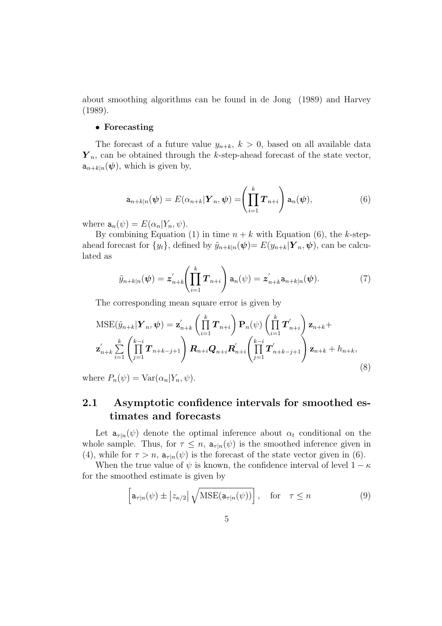about smoothing algorithms can be found in de Jong (1989) and Harvey (1989).

#### • Forecasting

The forecast of a future value  $y_{n+k}$ ,  $k > 0$ , based on all available data  $\boldsymbol{Y}_n$ , can be obtained through the k-step-ahead forecast of the state vector,  $a_{n+k|n}(\psi)$ , which is given by,

$$
\mathbf{a}_{n+k|n}(\boldsymbol{\psi}) = E(\alpha_{n+k}|\boldsymbol{Y}_n, \boldsymbol{\psi}) = \left(\prod_{i=1}^k \boldsymbol{T}_{n+i}\right) \mathbf{a}_n(\boldsymbol{\psi}), \tag{6}
$$

where  $a_n(\psi) = E(\alpha_n|Y_n, \psi)$ .

By combining Equation (1) in time  $n + k$  with Equation (6), the k-stepahead forecast for  $\{y_t\}$ , defined by  $\tilde{y}_{n+k|n}(\boldsymbol{\psi})=E(y_{n+k}|\boldsymbol{Y}_n,\boldsymbol{\psi})$ , can be calculated as

$$
\tilde{y}_{n+k|n}(\boldsymbol{\psi}) = \boldsymbol{z}_{n+k}' \left( \prod_{i=1}^k \boldsymbol{T}_{n+i} \right) \mathbf{a}_n(\boldsymbol{\psi}) = \boldsymbol{z}_{n+k}' \mathbf{a}_{n+k|n}(\boldsymbol{\psi}). \tag{7}
$$

The corresponding mean square error is given by

$$
MSE(\tilde{y}_{n+k}|\boldsymbol{Y}_n, \boldsymbol{\psi}) = \mathbf{z}_{n+k}' \left( \prod_{i=1}^k \boldsymbol{T}_{n+i} \right) \mathbf{P}_n(\boldsymbol{\psi}) \left( \prod_{i=1}^k \boldsymbol{T}_{n+i}' \right) \mathbf{z}_{n+k} +
$$
  

$$
\mathbf{z}_{n+k}' \sum_{i=1}^k \left( \prod_{j=1}^{k-i} \boldsymbol{T}_{n+k-j+1} \right) \boldsymbol{R}_{n+i} \boldsymbol{Q}_{n+i} \boldsymbol{R}_{n+i}' \left( \prod_{j=1}^{k-i} \boldsymbol{T}_{n+k-j+1}' \right) \mathbf{z}_{n+k} + h_{n+k},
$$
\n(8)

where  $P_n(\psi) = \text{Var}(\alpha_n | Y_n, \psi)$ .

### 2.1 Asymptotic confidence intervals for smoothed estimates and forecasts

Let  $a_{\tau|n}(\psi)$  denote the optimal inference about  $\alpha_t$  conditional on the whole sample. Thus, for  $\tau \leq n$ ,  $a_{\tau|n}(\psi)$  is the smoothed inference given in (4), while for  $\tau > n$ ,  $a_{\tau|n}(\psi)$  is the forecast of the state vector given in (6).

When the true value of  $\psi$  is known, the confidence interval of level  $1 - \kappa$ for the smoothed estimate is given by

$$
\[ \mathsf{a}_{\tau|n}(\psi) \pm |z_{\kappa/2}| \sqrt{\text{MSE}(\mathsf{a}_{\tau|n}(\psi))} \], \quad \text{for} \quad \tau \le n \tag{9}
$$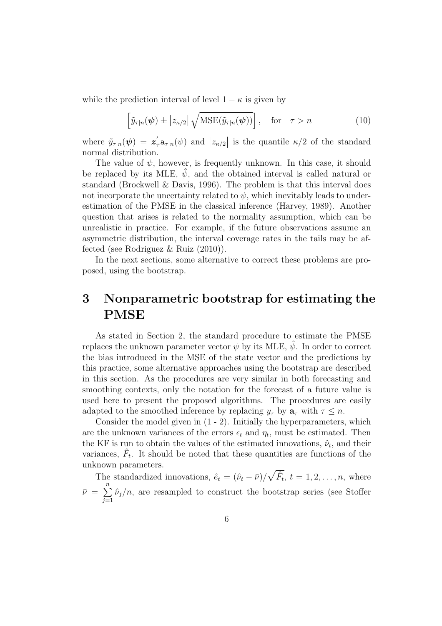while the prediction interval of level  $1 - \kappa$  is given by

$$
\left[\tilde{y}_{\tau|n}(\boldsymbol{\psi}) \pm \left| z_{\kappa/2} \right| \sqrt{\text{MSE}(\tilde{y}_{\tau|n}(\boldsymbol{\psi}))} \right], \quad \text{for} \quad \tau > n \tag{10}
$$

where  $\tilde{y}_{\tau|n}(\psi) = z'_\tau a_{\tau|n}(\psi)$  and  $|z_{\kappa/2}|$  is the quantile  $\kappa/2$  of the standard normal distribution.

The value of  $\psi$ , however, is frequently unknown. In this case, it should be replaced by its MLE,  $\hat{\psi}$ , and the obtained interval is called natural or standard (Brockwell & Davis, 1996). The problem is that this interval does not incorporate the uncertainty related to  $\psi$ , which inevitably leads to underestimation of the PMSE in the classical inference (Harvey, 1989). Another question that arises is related to the normality assumption, which can be unrealistic in practice. For example, if the future observations assume an asymmetric distribution, the interval coverage rates in the tails may be affected (see Rodriguez & Ruiz (2010)).

In the next sections, some alternative to correct these problems are proposed, using the bootstrap.

## 3 Nonparametric bootstrap for estimating the PMSE

As stated in Section 2, the standard procedure to estimate the PMSE replaces the unknown parameter vector  $\psi$  by its MLE,  $\hat{\psi}$ . In order to correct the bias introduced in the MSE of the state vector and the predictions by this practice, some alternative approaches using the bootstrap are described in this section. As the procedures are very similar in both forecasting and smoothing contexts, only the notation for the forecast of a future value is used here to present the proposed algorithms. The procedures are easily adapted to the smoothed inference by replacing  $y_{\tau}$  by  $a_{\tau}$  with  $\tau \leq n$ .

Consider the model given in (1 - 2). Initially the hyperparameters, which are the unknown variances of the errors  $\epsilon_t$  and  $\eta_t$ , must be estimated. Then the KF is run to obtain the values of the estimated innovations,  $\hat{\nu}_t$ , and their variances,  $\hat{F}_t$ . It should be noted that these quantities are functions of the unknown parameters.

The standardized innovations,  $\hat{e}_t = (\hat{\nu}_t - \bar{\nu})/\sqrt{\hat{F}_t}$ ,  $t = 1, 2, ..., n$ , where  $\bar{\nu} = \sum_{n=1}^{n}$  $j=1$  $\hat{\nu}_j/n$ , are resampled to construct the bootstrap series (see Stoffer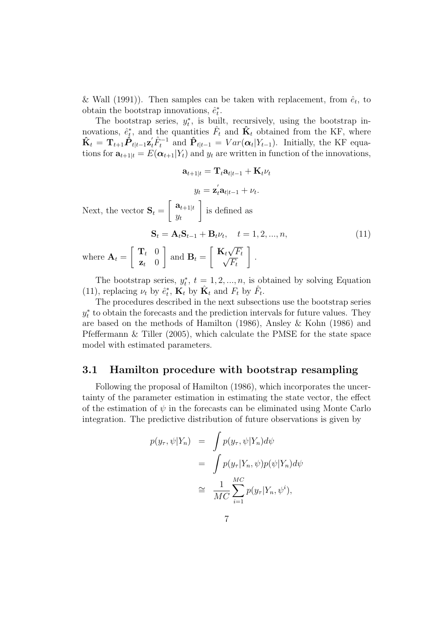& Wall (1991)). Then samples can be taken with replacement, from  $\hat{e}_t$ , to obtain the bootstrap innovations,  $\hat{e}_t^*$ .

The bootstrap series,  $y_t^*$ , is built, recursively, using the bootstrap innovations,  $\hat{e}_t^*$ , and the quantities  $\hat{F}_t$  and  $\hat{\mathbf{K}}_t$  obtained from the KF, where  $\hat{\mathbf{K}}_t = \mathbf{T}_{t+1} \hat{\mathbf{P}}_{t|t-1} \mathbf{z}_t' \hat{F}_t^{-1}$  and  $\hat{\mathbf{P}}_{t|t-1} = Var(\alpha_t | Y_{t-1})$ . Initially, the KF equations for  $\mathbf{a}_{t+1|t} = E(\boldsymbol{\alpha}_{t+1}|Y_t)$  and  $y_t$  are written in function of the innovations,

$$
\mathbf{a}_{t+1|t} = \mathbf{T}_t \mathbf{a}_{t|t-1} + \mathbf{K}_t \nu_t
$$

$$
y_t = \mathbf{z}_t^{'} \mathbf{a}_{t|t-1} + \nu_t.
$$
Next, the vector  $\mathbf{S}_t = \begin{bmatrix} \mathbf{a}_{t+1|t} \\ y_t \end{bmatrix}$  is defined as
$$
\mathbf{S}_t = \mathbf{A}_t \mathbf{S}_{t-1} + \mathbf{B}_t \nu_t, \quad t = 1, 2, ..., n,
$$
(11)

where 
$$
\mathbf{A}_t = \begin{bmatrix} \mathbf{T}_t & 0 \\ \mathbf{z}_t & 0 \end{bmatrix}
$$
 and  $\mathbf{B}_t = \begin{bmatrix} \mathbf{K}_t \sqrt{F_t} \\ \sqrt{F_t} \end{bmatrix}$ .

The bootstrap series,  $y_t^*, t = 1, 2, ..., n$ , is obtained by solving Equation (11), replacing  $\nu_t$  by  $\hat{e}_t^*$ ,  $\hat{K}_t$  by  $\hat{K}_t$  and  $F_t$  by  $\hat{F}_t$ .

The procedures described in the next subsections use the bootstrap series  $y_t^*$  to obtain the forecasts and the prediction intervals for future values. They are based on the methods of Hamilton (1986), Ansley & Kohn (1986) and Pfeffermann & Tiller (2005), which calculate the PMSE for the state space model with estimated parameters.

#### 3.1 Hamilton procedure with bootstrap resampling

Following the proposal of Hamilton (1986), which incorporates the uncertainty of the parameter estimation in estimating the state vector, the effect of the estimation of  $\psi$  in the forecasts can be eliminated using Monte Carlo integration. The predictive distribution of future observations is given by

$$
p(y_{\tau}, \psi|Y_n) = \int p(y_{\tau}, \psi|Y_n) d\psi
$$
  
= 
$$
\int p(y_{\tau}|Y_n, \psi)p(\psi|Y_n) d\psi
$$
  

$$
\cong \frac{1}{MC} \sum_{i=1}^{MC} p(y_{\tau}|Y_n, \psi^i),
$$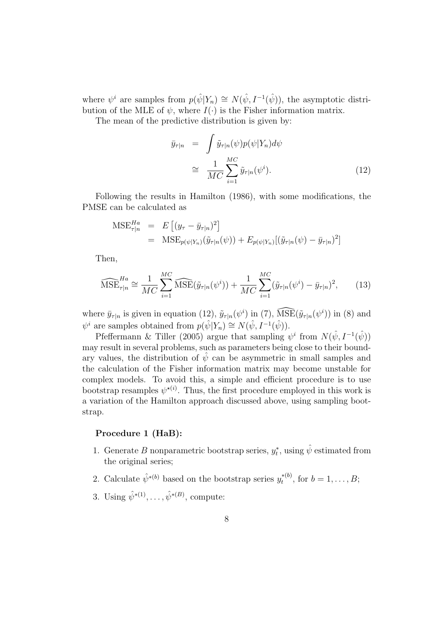where  $\psi^i$  are samples from  $p(\hat{\psi}|Y_n) \cong N(\hat{\psi}, I^{-1}(\hat{\psi}))$ , the asymptotic distribution of the MLE of  $\psi$ , where  $I(\cdot)$  is the Fisher information matrix.

The mean of the predictive distribution is given by:

$$
\bar{y}_{\tau|n} = \int \tilde{y}_{\tau|n}(\psi) p(\psi|Y_n) d\psi
$$
\n
$$
\cong \frac{1}{MC} \sum_{i=1}^{MC} \tilde{y}_{\tau|n}(\psi^i).
$$
\n(12)

Following the results in Hamilton (1986), with some modifications, the PMSE can be calculated as

$$
\begin{aligned} \text{MSE}_{\tau|n}^{Ha} &= E\left[ (y_\tau - \bar{y}_{\tau|n})^2 \right] \\ &= \text{MSE}_{p(\psi|Y_n)}(\tilde{y}_{\tau|n}(\psi)) + E_{p(\psi|Y_n)}[(\tilde{y}_{\tau|n}(\psi) - \bar{y}_{\tau|n})^2] \end{aligned}
$$

Then,

$$
\widehat{\text{MSE}}_{\tau|n}^{Ha} \cong \frac{1}{MC} \sum_{i=1}^{MC} \widehat{\text{MSE}}(\tilde{y}_{\tau|n}(\psi^i)) + \frac{1}{MC} \sum_{i=1}^{MC} (\tilde{y}_{\tau|n}(\psi^i) - \bar{y}_{\tau|n})^2, \qquad (13)
$$

where  $\bar{y}_{\tau|n}$  is given in equation (12),  $\tilde{y}_{\tau|n}(\psi^i)$  in (7),  $\widehat{\text{MSE}}(\tilde{y}_{\tau|n}(\psi^i))$  in (8) and  $\psi^i$  are samples obtained from  $p(\hat{\psi}|Y_n) \cong N(\hat{\psi}, I^{-1}(\hat{\psi}))$ .

Pfeffermann & Tiller (2005) argue that sampling  $\psi^i$  from  $N(\hat{\psi}, I^{-1}(\hat{\psi}))$ may result in several problems, such as parameters being close to their boundary values, the distribution of  $\hat{\psi}$  can be asymmetric in small samples and the calculation of the Fisher information matrix may become unstable for complex models. To avoid this, a simple and efficient procedure is to use bootstrap resamples  $\psi^{\star(i)}$ . Thus, the first procedure employed in this work is a variation of the Hamilton approach discussed above, using sampling bootstrap.

#### Procedure 1 (HaB):

1. Generate B nonparametric bootstrap series,  $y_t^*$ , using  $\hat{\psi}$  estimated from the original series;

2. Calculate  $\hat{\psi}^{*(b)}$  based on the bootstrap series  $y_t^{*(b)}$  $t^{*(0)}$ , for  $b = 1, ..., B;$ 

3. Using  $\hat{\psi}^{*(1)}, \dots, \hat{\psi}^{*(B)}$ , compute: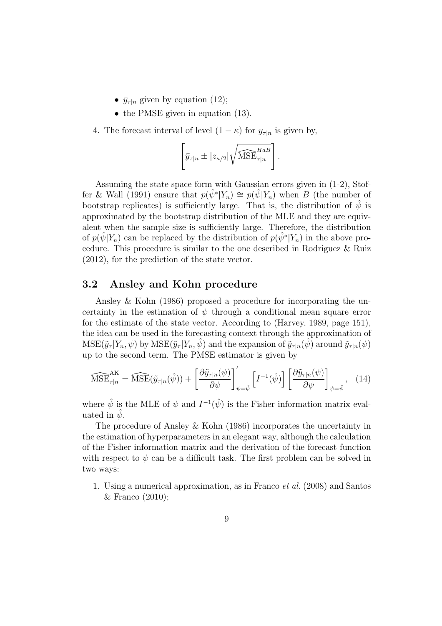- $\bar{y}_{\tau|n}$  given by equation (12);
- the PMSE given in equation (13).

4. The forecast interval of level  $(1 - \kappa)$  for  $y_{\tau|n}$  is given by,

$$
\[\overline{y}_{\tau|n} \pm |z_{\kappa/2}| \sqrt{\widehat{\text{MSE}}_{\tau|n}^{HaB}}\].
$$

Assuming the state space form with Gaussian errors given in (1-2), Stoffer & Wall (1991) ensure that  $p(\hat{\psi}^* | Y_n) \cong p(\hat{\psi} | Y_n)$  when B (the number of bootstrap replicates) is sufficiently large. That is, the distribution of  $\psi$  is approximated by the bootstrap distribution of the MLE and they are equivalent when the sample size is sufficiently large. Therefore, the distribution of  $p(\hat{\psi}|Y_n)$  can be replaced by the distribution of  $p(\hat{\psi}^*|Y_n)$  in the above procedure. This procedure is similar to the one described in Rodriguez & Ruiz (2012), for the prediction of the state vector.

#### 3.2 Ansley and Kohn procedure

Ansley & Kohn (1986) proposed a procedure for incorporating the uncertainty in the estimation of  $\psi$  through a conditional mean square error for the estimate of the state vector. According to (Harvey, 1989, page 151), the idea can be used in the forecasting context through the approximation of  $MSE(\tilde{y}_{\tau} | Y_n, \psi)$  by  $MSE(\tilde{y}_{\tau} | Y_n, \hat{\psi})$  and the expansion of  $\tilde{y}_{\tau|n}(\hat{\psi})$  around  $\tilde{y}_{\tau|n}(\psi)$ up to the second term. The PMSE estimator is given by

$$
\widehat{\text{MSE}}_{\tau|n}^{\text{AK}} = \widehat{\text{MSE}}(\tilde{y}_{\tau|n}(\hat{\psi})) + \left[\frac{\partial \tilde{y}_{\tau|n}(\psi)}{\partial \psi}\right]_{\psi=\hat{\psi}}' \left[I^{-1}(\hat{\psi})\right] \left[\frac{\partial \tilde{y}_{\tau|n}(\psi)}{\partial \psi}\right]_{\psi=\hat{\psi}}, \quad (14)
$$

where  $\hat{\psi}$  is the MLE of  $\psi$  and  $I^{-1}(\hat{\psi})$  is the Fisher information matrix evaluated in  $\psi$ .

The procedure of Ansley & Kohn (1986) incorporates the uncertainty in the estimation of hyperparameters in an elegant way, although the calculation of the Fisher information matrix and the derivation of the forecast function with respect to  $\psi$  can be a difficult task. The first problem can be solved in two ways:

1. Using a numerical approximation, as in Franco et al. (2008) and Santos & Franco (2010);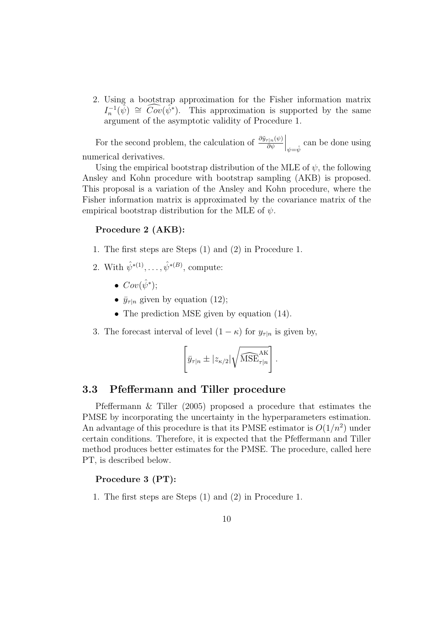2. Using a bootstrap approximation for the Fisher information matrix  $I_n^{-1}(\hat{\psi}) \cong \widehat{Cov}(\hat{\psi}^*)$ . This approximation is supported by the same argument of the asymptotic validity of Procedure 1.

For the second problem, the calculation of  $\frac{\partial \tilde{y}_{\tau|n}(\psi)}{\partial \psi}$  $\Big|_{\psi=\hat{\psi}}$  can be done using numerical derivatives.

Using the empirical bootstrap distribution of the MLE of  $\psi$ , the following Ansley and Kohn procedure with bootstrap sampling (AKB) is proposed. This proposal is a variation of the Ansley and Kohn procedure, where the Fisher information matrix is approximated by the covariance matrix of the empirical bootstrap distribution for the MLE of  $\psi$ .

#### Procedure 2 (AKB):

- 1. The first steps are Steps (1) and (2) in Procedure 1.
- 2. With  $\hat{\psi}^{*(1)}, \dots, \hat{\psi}^{*(B)}$ , compute:
	- $Cov(\hat{\psi}^*)$ ;
	- $\bar{y}_{\tau|n}$  given by equation (12);
	- The prediction MSE given by equation  $(14)$ .

3. The forecast interval of level  $(1 - \kappa)$  for  $y_{\tau|n}$  is given by,

$$
\[\overline{y}_{\tau|n} \pm |z_{\kappa/2}| \sqrt{\widehat{\mathrm{MSE}}_{\tau|n}^{\mathrm{AK}}}\].
$$

#### 3.3 Pfeffermann and Tiller procedure

Pfeffermann & Tiller (2005) proposed a procedure that estimates the PMSE by incorporating the uncertainty in the hyperparameters estimation. An advantage of this procedure is that its PMSE estimator is  $O(1/n^2)$  under certain conditions. Therefore, it is expected that the Pfeffermann and Tiller method produces better estimates for the PMSE. The procedure, called here PT, is described below.

#### Procedure 3 (PT):

1. The first steps are Steps (1) and (2) in Procedure 1.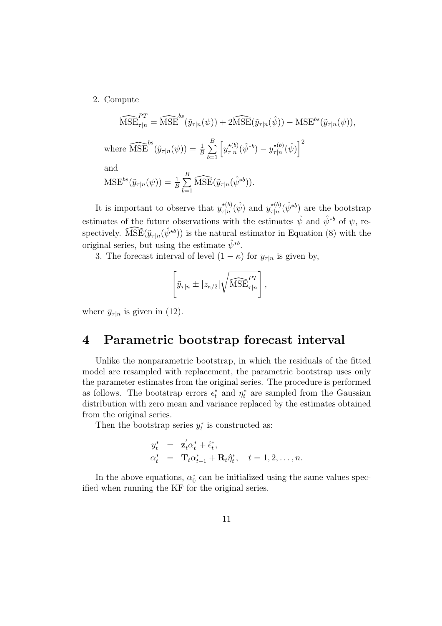2. Compute

$$
\widehat{\text{MSE}}_{\tau|n}^{PT} = \widehat{\text{MSE}}^{bs}(\tilde{y}_{\tau|n}(\psi)) + 2\widehat{\text{MSE}}(\tilde{y}_{\tau|n}(\hat{\psi})) - \text{MSE}^{bs}(\tilde{y}_{\tau|n}(\psi)),
$$

where  $\widehat{\text{MSE}}^{bs}(\tilde{y}_{\tau|n}(\psi)) = \frac{1}{B} \sum_{n=1}^{B}$  $_{b=1}$  $\int y_{\tau}^{*(b)}$  $\sigma_{\tau|n}^{\star(b)}(\hat{\psi}^{*b}) - y_{\tau|n}^{\star(b)}$  $\left[\frac{\star(b)}{\tau|n}(\hat{\psi})\right]^2$ 

and

$$
\text{MSE}^{bs}(\tilde{y}_{\tau|n}(\psi)) = \frac{1}{B} \sum_{b=1}^{B} \widehat{\text{MSE}}(\tilde{y}_{\tau|n}(\hat{\psi}^{*b})).
$$

It is important to observe that  $y_{\tau|n}^{\star(b)}$  $_{\tau|n}^{\star(b)}(\hat{\psi})$  and  $y_{\tau|n}^{\star(b)}$  $\chi^{(b)}_{\tau|n}(\hat{\psi}^{*b})$  are the bootstrap estimates of the future observations with the estimates  $\hat{\psi}$  and  $\hat{\psi}^{*b}$  of  $\psi$ , respectively.  $\widehat{\mathrm{MSE}}(\tilde{y}_{\tau|n}(\hat{\psi}^{*b}))$  is the natural estimator in Equation (8) with the original series, but using the estimate  $\hat{\psi}^{*b}$ .

3. The forecast interval of level  $(1 - \kappa)$  for  $y_{\tau|n}$  is given by,

$$
\left[\bar{y}_{\tau|n} \pm |z_{\kappa/2}| \sqrt{\widehat{\text{MSE}}_{\tau|n}^{PT}}\right],
$$

where  $\bar{y}_{\tau|n}$  is given in (12).

## 4 Parametric bootstrap forecast interval

Unlike the nonparametric bootstrap, in which the residuals of the fitted model are resampled with replacement, the parametric bootstrap uses only the parameter estimates from the original series. The procedure is performed as follows. The bootstrap errors  $\epsilon_t^*$  and  $\eta_t^*$  are sampled from the Gaussian distribution with zero mean and variance replaced by the estimates obtained from the original series.

Then the bootstrap series  $y_t^*$  is constructed as:

$$
y_t^* = \mathbf{z}_t' \alpha_t^* + \hat{\epsilon}_t^*,
$$
  
\n
$$
\alpha_t^* = \mathbf{T}_t \alpha_{t-1}^* + \mathbf{R}_t \hat{\eta}_t^*, \quad t = 1, 2, \dots, n.
$$

In the above equations,  $\alpha_0^*$  can be initialized using the same values specified when running the KF for the original series.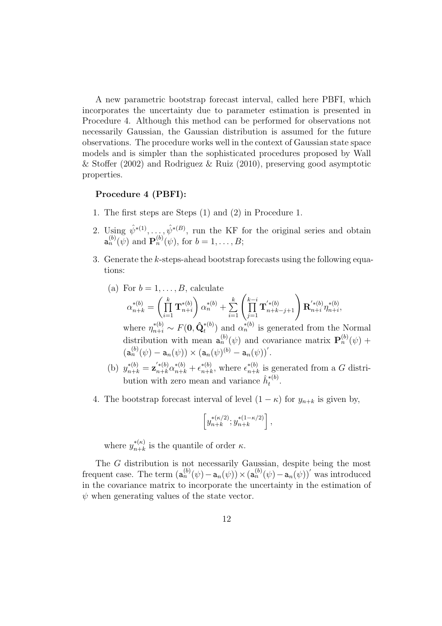A new parametric bootstrap forecast interval, called here PBFI, which incorporates the uncertainty due to parameter estimation is presented in Procedure 4. Although this method can be performed for observations not necessarily Gaussian, the Gaussian distribution is assumed for the future observations. The procedure works well in the context of Gaussian state space models and is simpler than the sophisticated procedures proposed by Wall & Stoffer (2002) and Rodriguez & Ruiz (2010), preserving good asymptotic properties.

#### Procedure 4 (PBFI):

- 1. The first steps are Steps (1) and (2) in Procedure 1.
- 2. Using  $\hat{\psi}^{*(1)}, \ldots, \hat{\psi}^{*(B)}$ , run the KF for the original series and obtain  $\mathbf{a}_n^{(b)}(\psi)$  and  $\mathbf{P}_n^{(b)}(\psi)$ , for  $b=1,\ldots,B;$
- 3. Generate the k-steps-ahead bootstrap forecasts using the following equations:
	- (a) For  $b = 1, \ldots, B$ , calculate  $\alpha_{n+k}^{*(b)} = \left(\prod_{k=1}^{k} \alpha_k\right)^{k}$  $i=1$  $\mathrm{T}^{*(b)}_{n+i}$  $n+i$  $\overline{ }$  $\alpha_n^{*(b)} + \sum_{i=1}^k \left( \prod_{j=1}^{k-i} \right)$  $j=1$  $\mathbf{T}^{'*(b)}_{n+k}$  $\left(\begin{smallmatrix} 1 & * (b) \ n+k-j+1 \end{smallmatrix}\right) {\mathbf{R}}_{n+i}^{'*(b)}$  $\int_{n+i}^{\prime*(b)} \eta_{n+i}^{*(b)}$  $_{n+i}^{*(o)}$ where  $\eta_{n+i}^{*(b)} \sim F(\mathbf{0}, \hat{\mathbf{Q}}_t^{*(b)})$  and  $\alpha_n^{*(b)}$  is generated from the Normal distribution with mean  $\mathbf{a}_n^{(b)}(\psi)$  and covariance matrix  $\mathbf{P}_n^{(b)}(\psi)$  +  $(a_n^{(b)}(\psi) - a_n(\psi)) \times (a_n(\psi)^{(b)} - a_n(\psi))'.$
	- (b)  $y_{n+k}^{*(b)} = \mathbf{z}_{n+k}^{'*(b)} \alpha_{n+k}^{*(b)} + \epsilon_{n+k}^{*(b)}$ \*(b) where  $\epsilon_{n+k}^{*(b)}$  $_{n+k}^{*(0)}$  is generated from a G distribution with zero mean and variance  $\hat{h}_t^{*(b)}$  $\frac{1}{t}^{*(0)}.$
- 4. The bootstrap forecast interval of level  $(1 \kappa)$  for  $y_{n+k}$  is given by,

$$
\left[y^{*(\kappa/2)}_{n+k};y^{*(1-\kappa/2)}_{n+k}\right],
$$

where  $y_{n+k}^{*(\kappa)}$  $_{n+k}^{*(\kappa)}$  is the quantile of order  $\kappa$ .

The G distribution is not necessarily Gaussian, despite being the most frequent case. The term  $(\mathbf{a}_n^{(b)}(\psi) - \mathbf{a}_n(\psi)) \times (\mathbf{a}_n^{(b)}(\psi) - \mathbf{a}_n(\psi))'$  was introduced in the covariance matrix to incorporate the uncertainty in the estimation of  $\psi$  when generating values of the state vector.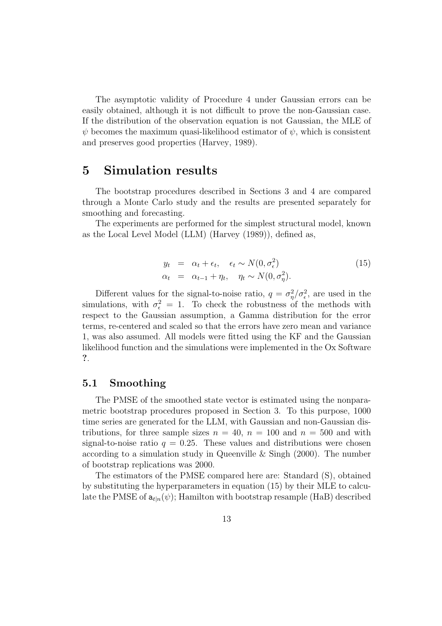The asymptotic validity of Procedure 4 under Gaussian errors can be easily obtained, although it is not difficult to prove the non-Gaussian case. If the distribution of the observation equation is not Gaussian, the MLE of  $\psi$  becomes the maximum quasi-likelihood estimator of  $\psi$ , which is consistent and preserves good properties (Harvey, 1989).

### 5 Simulation results

The bootstrap procedures described in Sections 3 and 4 are compared through a Monte Carlo study and the results are presented separately for smoothing and forecasting.

The experiments are performed for the simplest structural model, known as the Local Level Model (LLM) (Harvey (1989)), defined as,

$$
y_t = \alpha_t + \epsilon_t, \quad \epsilon_t \sim N(0, \sigma_\epsilon^2)
$$
  
\n
$$
\alpha_t = \alpha_{t-1} + \eta_t, \quad \eta_t \sim N(0, \sigma_\eta^2).
$$
\n(15)

Different values for the signal-to-noise ratio,  $q = \sigma_{\eta}^2/\sigma_{\epsilon}^2$ , are used in the simulations, with  $\sigma_{\epsilon}^2 = 1$ . To check the robustness of the methods with respect to the Gaussian assumption, a Gamma distribution for the error terms, re-centered and scaled so that the errors have zero mean and variance 1, was also assumed. All models were fitted using the KF and the Gaussian likelihood function and the simulations were implemented in the Ox Software ?.

#### 5.1 Smoothing

The PMSE of the smoothed state vector is estimated using the nonparametric bootstrap procedures proposed in Section 3. To this purpose, 1000 time series are generated for the LLM, with Gaussian and non-Gaussian distributions, for three sample sizes  $n = 40$ ,  $n = 100$  and  $n = 500$  and with signal-to-noise ratio  $q = 0.25$ . These values and distributions were chosen according to a simulation study in Queenville & Singh (2000). The number of bootstrap replications was 2000.

The estimators of the PMSE compared here are: Standard (S), obtained by substituting the hyperparameters in equation (15) by their MLE to calculate the PMSE of  $a_{t|n}(\psi)$ ; Hamilton with bootstrap resample (HaB) described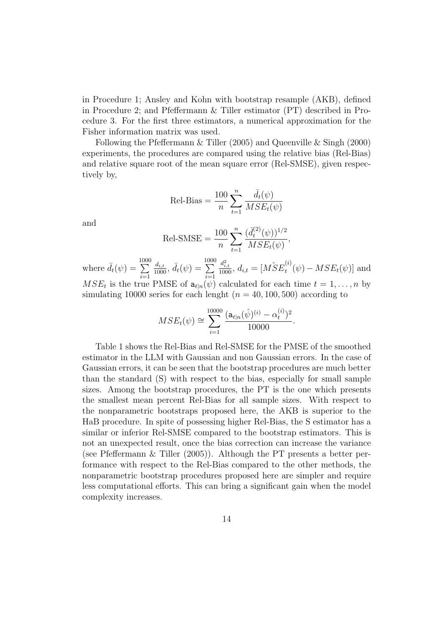in Procedure 1; Ansley and Kohn with bootstrap resample (AKB), defined in Procedure 2; and Pfeffermann & Tiller estimator (PT) described in Procedure 3. For the first three estimators, a numerical approximation for the Fisher information matrix was used.

Following the Pfeffermann & Tiller (2005) and Queenville & Singh (2000) experiments, the procedures are compared using the relative bias (Rel-Bias) and relative square root of the mean square error (Rel-SMSE), given respectively by,

Rel-Bias = 
$$
\frac{100}{n} \sum_{t=1}^{n} \frac{\bar{d}_{t}(\psi)}{MSE_{t}(\psi)}
$$

and

Rel-SMSE = 
$$
\frac{100}{n} \sum_{t=1}^{n} \frac{(\bar{d}_{t}^{(2)}(\psi))^{1/2}}{MSE_{t}(\psi)},
$$

where  $\bar{d}_t(\psi) = \sum^{1000}$  $i=1$  $\frac{d_{i,t}}{1000}, \, \bar{d}_t(\psi) = \sum_{i=1}^{1000}$  $i=1$  $\frac{d_{i,t}^2}{1000}$ ,  $d_{i,t} = [M\hat{S}E_t^{(i)}]$  $t^{(0)}(t) - MSE_t(t)$  and  $MSE_t$  is the true PMSE of  $a_{t|n}(\psi)$  calculated for each time  $t = 1, \ldots, n$  by simulating 10000 series for each lenght ( $n = 40, 100, 500$ ) according to

$$
MSE_t(\psi) \cong \sum_{i=1}^{10000} \frac{(\mathbf{a}_{t|n}(\hat{\psi})^{(i)} - \alpha_t^{(i)})^2}{10000}.
$$

Table 1 shows the Rel-Bias and Rel-SMSE for the PMSE of the smoothed estimator in the LLM with Gaussian and non Gaussian errors. In the case of Gaussian errors, it can be seen that the bootstrap procedures are much better than the standard (S) with respect to the bias, especially for small sample sizes. Among the bootstrap procedures, the PT is the one which presents the smallest mean percent Rel-Bias for all sample sizes. With respect to the nonparametric bootstraps proposed here, the AKB is superior to the HaB procedure. In spite of possessing higher Rel-Bias, the S estimator has a similar or inferior Rel-SMSE compared to the bootstrap estimators. This is not an unexpected result, once the bias correction can increase the variance (see Pfeffermann & Tiller (2005)). Although the PT presents a better performance with respect to the Rel-Bias compared to the other methods, the nonparametric bootstrap procedures proposed here are simpler and require less computational efforts. This can bring a significant gain when the model complexity increases.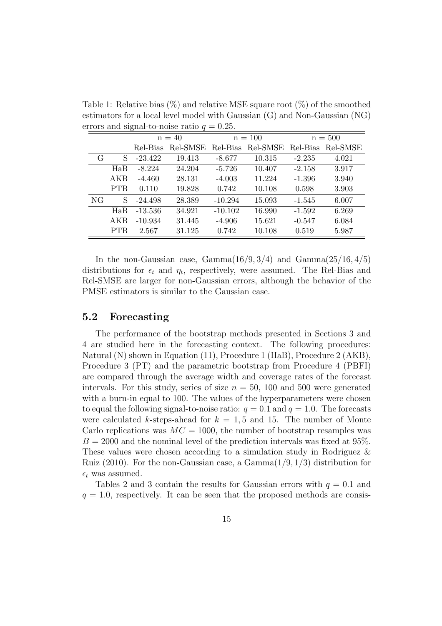Table 1: Relative bias  $(\%)$  and relative MSE square root  $(\%)$  of the smoothed estimators for a local level model with Gaussian (G) and Non-Gaussian (NG) errors and signal-to-noise ratio  $q = 0.25$ .

|    |            | $n = 40$  |                   | $n = 100$ |          | $n = 500$ |          |
|----|------------|-----------|-------------------|-----------|----------|-----------|----------|
|    |            | Rel-Bias  | Rel-SMSE Rel-Bias |           | Rel-SMSE | Rel-Bias  | Rel-SMSE |
| G  | S          | $-23.422$ | 19.413            | $-8.677$  | 10.315   | $-2.235$  | 4.021    |
|    | HaB        | $-8.224$  | 24.204            | $-5.726$  | 10.407   | $-2.158$  | 3.917    |
|    | AKB        | $-4.460$  | 28.131            | $-4.003$  | 11.224   | $-1.396$  | 3.940    |
|    | <b>PTB</b> | 0.110     | 19.828            | 0.742     | 10.108   | 0.598     | 3.903    |
| NG | S          | $-24.498$ | 28.389            | $-10.294$ | 15.093   | $-1.545$  | 6.007    |
|    | HaB        | $-13.536$ | 34.921            | $-10.102$ | 16.990   | $-1.592$  | 6.269    |
|    | AKB        | $-10.934$ | 31.445            | $-4.906$  | 15.621   | $-0.547$  | 6.084    |
|    | <b>PTB</b> | 2.567     | 31.125            | 0.742     | 10.108   | 0.519     | 5.987    |

In the non-Gaussian case, Gamma $(16/9, 3/4)$  and Gamma $(25/16, 4/5)$ distributions for  $\epsilon_t$  and  $\eta_t$ , respectively, were assumed. The Rel-Bias and Rel-SMSE are larger for non-Gaussian errors, although the behavior of the PMSE estimators is similar to the Gaussian case.

#### 5.2 Forecasting

The performance of the bootstrap methods presented in Sections 3 and 4 are studied here in the forecasting context. The following procedures: Natural (N) shown in Equation (11), Procedure 1 (HaB), Procedure 2 (AKB), Procedure 3 (PT) and the parametric bootstrap from Procedure 4 (PBFI) are compared through the average width and coverage rates of the forecast intervals. For this study, series of size  $n = 50$ , 100 and 500 were generated with a burn-in equal to 100. The values of the hyperparameters were chosen to equal the following signal-to-noise ratio:  $q = 0.1$  and  $q = 1.0$ . The forecasts were calculated k-steps-ahead for  $k = 1, 5$  and 15. The number of Monte Carlo replications was  $MC = 1000$ , the number of bootstrap resamples was  $B = 2000$  and the nominal level of the prediction intervals was fixed at 95%. These values were chosen according to a simulation study in Rodriguez & Ruiz (2010). For the non-Gaussian case, a  $Gamma(1/9, 1/3)$  distribution for  $\epsilon_t$  was assumed.

Tables 2 and 3 contain the results for Gaussian errors with  $q = 0.1$  and  $q = 1.0$ , respectively. It can be seen that the proposed methods are consis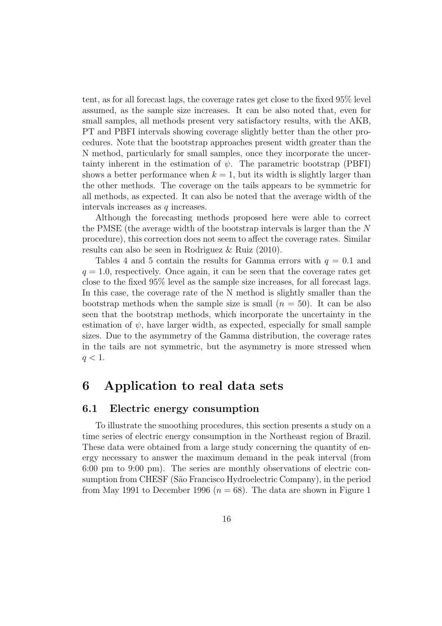tent, as for all forecast lags, the coverage rates get close to the fixed 95% level assumed, as the sample size increases. It can be also noted that, even for small samples, all methods present very satisfactory results, with the AKB, PT and PBFI intervals showing coverage slightly better than the other procedures. Note that the bootstrap approaches present width greater than the N method, particularly for small samples, once they incorporate the uncertainty inherent in the estimation of  $\psi$ . The parametric bootstrap (PBFI) shows a better performance when  $k = 1$ , but its width is slightly larger than the other methods. The coverage on the tails appears to be symmetric for all methods, as expected. It can also be noted that the average width of the intervals increases as  $q$  increases.

Although the forecasting methods proposed here were able to correct the PMSE (the average width of the bootstrap intervals is larger than the N procedure), this correction does not seem to affect the coverage rates. Similar results can also be seen in Rodriguez & Ruiz (2010).

Tables 4 and 5 contain the results for Gamma errors with  $q = 0.1$  and  $q = 1.0$ , respectively. Once again, it can be seen that the coverage rates get close to the fixed 95% level as the sample size increases, for all forecast lags. In this case, the coverage rate of the N method is slightly smaller than the bootstrap methods when the sample size is small  $(n = 50)$ . It can be also seen that the bootstrap methods, which incorporate the uncertainty in the estimation of  $\psi$ , have larger width, as expected, especially for small sample sizes. Due to the asymmetry of the Gamma distribution, the coverage rates in the tails are not symmetric, but the asymmetry is more stressed when  $q < 1$ .

### 6 Application to real data sets

#### 6.1 Electric energy consumption

To illustrate the smoothing procedures, this section presents a study on a time series of electric energy consumption in the Northeast region of Brazil. These data were obtained from a large study concerning the quantity of energy necessary to answer the maximum demand in the peak interval (from 6:00 pm to 9:00 pm). The series are monthly observations of electric consumption from CHESF (São Francisco Hydroelectric Company), in the period from May 1991 to December 1996 ( $n = 68$ ). The data are shown in Figure 1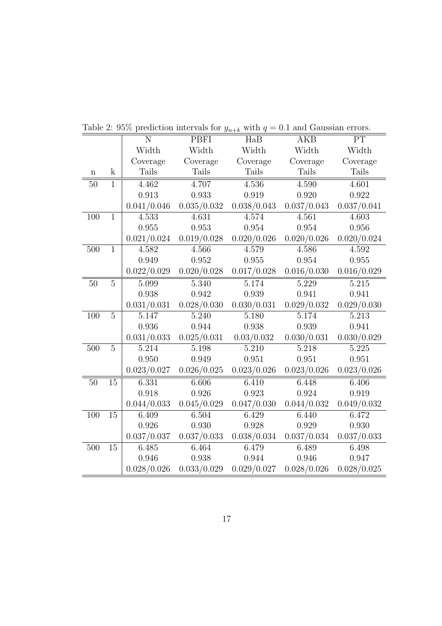|                 |                 | N           | PBFI        | HaB                         | AKB         | PT           |
|-----------------|-----------------|-------------|-------------|-----------------------------|-------------|--------------|
|                 |                 | Width       | Width       | Width                       | Width       | Width        |
|                 |                 | Coverage    | Coverage    | Coverage                    | Coverage    | Coverage     |
| $\mathbf n$     | $\mathbf k$     | Tails       | Tails       | Tails                       | Tails       | <b>Tails</b> |
| 50              | $\overline{1}$  | 4.462       | 4.707       | 4.536                       | 4.590       | 4.601        |
|                 |                 | 0.913       | 0.933       | 0.919                       | 0.920       | 0.922        |
|                 |                 | 0.041/0.046 | 0.035/0.032 | 0.038/0.043                 | 0.037/0.043 | 0.037/0.041  |
| 100             | $\mathbf{1}$    | 4.533       | 4.631       | 4.574                       | 4.561       | 4.603        |
|                 |                 | 0.955       | 0.953       | 0.954                       | 0.954       | 0.956        |
|                 |                 | 0.021/0.024 | 0.019/0.028 | 0.020/0.026                 | 0.020/0.026 | 0.020/0.024  |
| $500\,$         | $\overline{1}$  | 4.582       | 4.566       | 4.579                       | 4.586       | 4.592        |
|                 |                 | 0.949       | 0.952       | 0.955                       | 0.954       | 0.955        |
|                 |                 | 0.022/0.029 | 0.020/0.028 | 0.017/0.028                 | 0.016/0.030 | 0.016/0.029  |
| $\overline{50}$ | $\overline{5}$  | 5.099       | 5.340       | 5.174                       | 5.229       | 5.215        |
|                 |                 | 0.938       | 0.942       | 0.939                       | 0.941       | 0.941        |
|                 |                 | 0.031/0.031 | 0.028/0.030 | 0.030/0.031                 | 0.029/0.032 | 0.029/0.030  |
| 100             | $\overline{5}$  | 5.147       | 5.240       | 5.180                       | 5.174       | 5.213        |
|                 |                 | 0.936       | 0.944       | 0.938                       | 0.939       | 0.941        |
|                 |                 | 0.031/0.033 | 0.025/0.031 | 0.03/0.032                  | 0.030/0.031 | 0.030/0.029  |
| 500             | $\overline{5}$  | 5.214       | 5.198       | 5.210                       | 5.218       | 5.225        |
|                 |                 | 0.950       | 0.949       | 0.951                       | 0.951       | 0.951        |
|                 |                 | 0.023/0.027 | 0.026/0.025 | 0.023/0.026                 | 0.023/0.026 | 0.023/0.026  |
| $50\,$          | $\overline{15}$ | 6.331       | 6.606       | 6.410                       | 6.448       | 6.406        |
|                 |                 | 0.918       | 0.926       | 0.923                       | 0.924       | 0.919        |
|                 |                 | 0.044/0.033 |             | $0.045/0.029$ $0.047/0.030$ | 0.044/0.032 | 0.049/0.032  |
| 100             | 15              | 6.409       | 6.504       | 6.429                       | 6.440       | 6.472        |
|                 |                 | 0.926       | $0.930\,$   | 0.928                       | 0.929       | 0.930        |
|                 |                 | 0.037/0.037 | 0.037/0.033 | 0.038/0.034                 | 0.037/0.034 | 0.037/0.033  |
| $500\,$         | 15              | $6.485\,$   | 6.464       | 6.479                       | 6.489       | 6.498        |
|                 |                 | 0.946       | 0.938       | 0.944                       | 0.946       | 0.947        |
|                 |                 | 0.028/0.026 | 0.033/0.029 | 0.029/0.027                 | 0.028/0.026 | 0.028/0.025  |

Table 2: 95% prediction intervals for  $y_{n+k}$  with  $q = 0.1$  and Gaussian errors.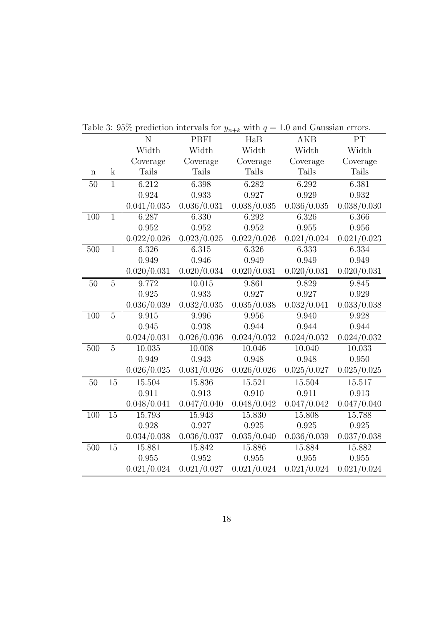|                 |                 | N           | PBFI        | HaB         | <b>AKB</b>  | PT              |
|-----------------|-----------------|-------------|-------------|-------------|-------------|-----------------|
|                 |                 | Width       | Width       | Width       | Width       | Width           |
|                 |                 | Coverage    | Coverage    | Coverage    | Coverage    | Coverage        |
| $\mathbf n$     | $\mathbf k$     | Tails       | Tails       | Tails       | Tails       | <b>Tails</b>    |
| 50              | $\overline{1}$  | 6.212       | 6.398       | 6.282       | 6.292       | 6.381           |
|                 |                 | 0.924       | 0.933       | 0.927       | 0.929       | 0.932           |
|                 |                 | 0.041/0.035 | 0.036/0.031 | 0.038/0.035 | 0.036/0.035 | 0.038/0.030     |
| 100             | $\mathbf{1}$    | 6.287       | 6.330       | 6.292       | 6.326       | 6.366           |
|                 |                 | 0.952       | 0.952       | 0.952       | 0.955       | 0.956           |
|                 |                 | 0.022/0.026 | 0.023/0.025 | 0.022/0.026 | 0.021/0.024 | 0.021/0.023     |
| 500             | $\overline{1}$  | 6.326       | 6.315       | 6.326       | 6.333       | 6.334           |
|                 |                 | 0.949       | 0.946       | 0.949       | 0.949       | 0.949           |
|                 |                 | 0.020/0.031 | 0.020/0.034 | 0.020/0.031 | 0.020/0.031 | 0.020/0.031     |
| $\overline{50}$ | $\overline{5}$  | 9.772       | 10.015      | 9.861       | 9.829       | 9.845           |
|                 |                 | 0.925       | 0.933       | 0.927       | 0.927       | 0.929           |
|                 |                 | 0.036/0.039 | 0.032/0.035 | 0.035/0.038 | 0.032/0.041 | $0.033/0.038\,$ |
| 100             | $\overline{5}$  | 9.915       | 9.996       | 9.956       | 9.940       | 9.928           |
|                 |                 | 0.945       | 0.938       | 0.944       | 0.944       | 0.944           |
|                 |                 | 0.024/0.031 | 0.026/0.036 | 0.024/0.032 | 0.024/0.032 | 0.024/0.032     |
| 500             | $\overline{5}$  | 10.035      | 10.008      | 10.046      | 10.040      | 10.033          |
|                 |                 | 0.949       | 0.943       | 0.948       | 0.948       | 0.950           |
|                 |                 | 0.026/0.025 | 0.031/0.026 | 0.026/0.026 | 0.025/0.027 | 0.025/0.025     |
| $50\,$          | $\overline{15}$ | 15.504      | 15.836      | 15.521      | 15.504      | 15.517          |
|                 |                 | 0.911       | 0.913       | 0.910       | 0.911       | 0.913           |
|                 |                 | 0.048/0.041 | 0.047/0.040 | 0.048/0.042 | 0.047/0.042 | 0.047/0.040     |
| 100             | 15              | 15.793      | 15.943      | 15.830      | 15.808      | 15.788          |
|                 |                 | 0.928       | 0.927       | 0.925       | 0.925       | 0.925           |
|                 |                 | 0.034/0.038 | 0.036/0.037 | 0.035/0.040 | 0.036/0.039 | 0.037/0.038     |
| 500             | 15              | 15.881      | 15.842      | 15.886      | 15.884      | 15.882          |
|                 |                 | 0.955       | 0.952       | 0.955       | 0.955       | 0.955           |
|                 |                 | 0.021/0.024 | 0.021/0.027 | 0.021/0.024 | 0.021/0.024 | 0.021/0.024     |

Table 3: 95% prediction intervals for  $y_{n+k}$  with  $q = 1.0$  and Gaussian errors.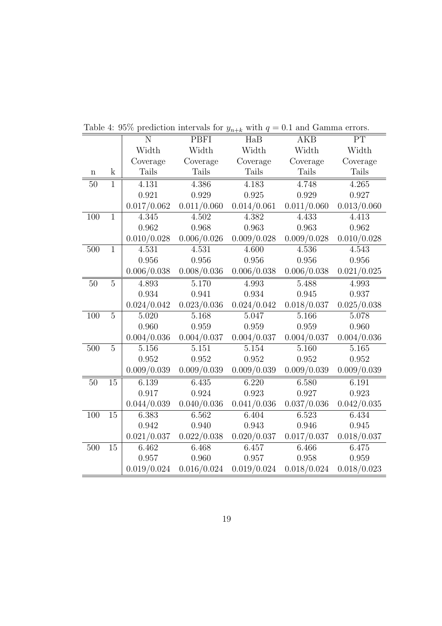|                 |                | N           | <b>PBFI</b> | HaB                | <b>AKB</b>  | PT          |
|-----------------|----------------|-------------|-------------|--------------------|-------------|-------------|
|                 |                | Width       | Width       | Width              | Width       | Width       |
|                 |                | Coverage    | Coverage    | Coverage           | Coverage    | Coverage    |
| $\mathbf n$     | $\mathbf k$    | Tails       | Tails       | Tails              | Tails       | Tails       |
| $50\,$          | $\mathbf{1}$   | 4.131       | 4.386       | 4.183              | 4.748       | 4.265       |
|                 |                | 0.921       | 0.929       | $\,0.925\,$        | 0.929       | 0.927       |
|                 |                | 0.017/0.062 | 0.011/0.060 | 0.014/0.061        | 0.011/0.060 | 0.013/0.060 |
| 100             | $\mathbf{1}$   | 4.345       | 4.502       | 4.382              | 4.433       | 4.413       |
|                 |                | 0.962       | 0.968       | 0.963              | 0.963       | 0.962       |
|                 |                | 0.010/0.028 | 0.006/0.026 | 0.009/0.028        | 0.009/0.028 | 0.010/0.028 |
| 500             | $\overline{1}$ | 4.531       | 4.531       | 4.600              | 4.536       | 4.543       |
|                 |                | 0.956       | 0.956       | 0.956              | 0.956       | 0.956       |
|                 |                | 0.006/0.038 | 0.008/0.036 | 0.006/0.038        | 0.006/0.038 | 0.021/0.025 |
| $\overline{50}$ | $\overline{5}$ | 4.893       | 5.170       | 4.993              | 5.488       | 4.993       |
|                 |                | 0.934       | 0.941       | 0.934              | 0.945       | 0.937       |
|                 |                | 0.024/0.042 | 0.023/0.036 | 0.024/0.042        | 0.018/0.037 | 0.025/0.038 |
| 100             | $\overline{5}$ | 5.020       | 5.168       | 5.047              | 5.166       | 5.078       |
|                 |                | 0.960       | 0.959       | 0.959              | 0.959       | 0.960       |
|                 |                | 0.004/0.036 | 0.004/0.037 | 0.004/0.037        | 0.004/0.037 | 0.004/0.036 |
| 500             | $\overline{5}$ | 5.156       | 5.151       | $5.15\overline{4}$ | 5.160       | 5.165       |
|                 |                | 0.952       | 0.952       | 0.952              | 0.952       | 0.952       |
|                 |                | 0.009/0.039 | 0.009/0.039 | 0.009/0.039        | 0.009/0.039 | 0.009/0.039 |
| $50\,$          | 15             | 6.139       | 6.435       | 6.220              | 6.580       | 6.191       |
|                 |                | 0.917       | 0.924       | 0.923              | 0.927       | 0.923       |
|                 |                | 0.044/0.039 | 0.040/0.036 | 0.041/0.036        | 0.037/0.036 | 0.042/0.035 |
| 100             | 15             | 6.383       | 6.562       | 6.404              | 6.523       | 6.434       |
|                 |                | 0.942       | 0.940       | 0.943              | 0.946       | 0.945       |
|                 |                | 0.021/0.037 | 0.022/0.038 | 0.020/0.037        | 0.017/0.037 | 0.018/0.037 |
| $500\,$         | 15             | 6.462       | 6.468       | 6.457              | 6.466       | 6.475       |
|                 |                | 0.957       | 0.960       | 0.957              | 0.958       | 0.959       |
|                 |                | 0.019/0.024 | 0.016/0.024 | 0.019/0.024        | 0.018/0.024 | 0.018/0.023 |

Table 4: 95% prediction intervals for  $y_{n+k}$  with  $q = 0.1$  and Gamma errors.

 $=$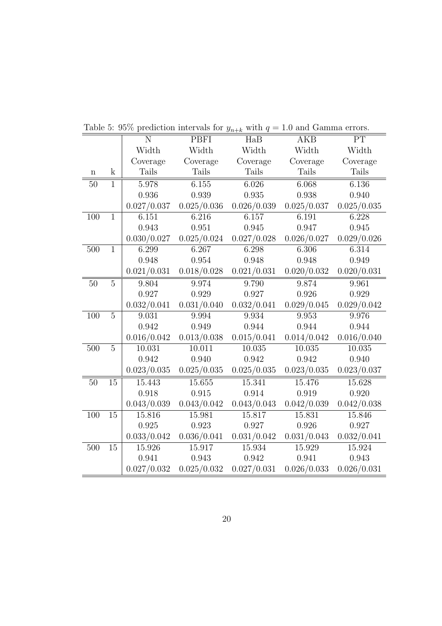|                 |                | N           | <b>PBFI</b> | HaB         | <b>AKB</b>  | PT          |
|-----------------|----------------|-------------|-------------|-------------|-------------|-------------|
|                 |                | Width       | Width       | Width       | Width       | Width       |
|                 |                | Coverage    | Coverage    | Coverage    | Coverage    | Coverage    |
| $\mathbf n$     | $\mathbf k$    | Tails       | Tails       | Tails       | Tails       | Tails       |
| $50\,$          | $\overline{1}$ | 5.978       | 6.155       | 6.026       | 6.068       | 6.136       |
|                 |                | 0.936       | 0.939       | 0.935       | 0.938       | 0.940       |
|                 |                | 0.027/0.037 | 0.025/0.036 | 0.026/0.039 | 0.025/0.037 | 0.025/0.035 |
| 100             | $\mathbf{1}$   | 6.151       | 6.216       | 6.157       | 6.191       | 6.228       |
|                 |                | 0.943       | $\,0.951\,$ | 0.945       | 0.947       | 0.945       |
|                 |                | 0.030/0.027 | 0.025/0.024 | 0.027/0.028 | 0.026/0.027 | 0.029/0.026 |
| 500             | $\overline{1}$ | 6.299       | 6.267       | 6.298       | 6.306       | 6.314       |
|                 |                | 0.948       | 0.954       | 0.948       | 0.948       | 0.949       |
|                 |                | 0.021/0.031 | 0.018/0.028 | 0.021/0.031 | 0.020/0.032 | 0.020/0.031 |
| $\overline{50}$ | $\overline{5}$ | 9.804       | 9.974       | 9.790       | 9.874       | 9.961       |
|                 |                | 0.927       | 0.929       | 0.927       | 0.926       | 0.929       |
|                 |                | 0.032/0.041 | 0.031/0.040 | 0.032/0.041 | 0.029/0.045 | 0.029/0.042 |
| 100             | $\overline{5}$ | 9.031       | 9.994       | 9.934       | 9.953       | 9.976       |
|                 |                | 0.942       | 0.949       | 0.944       | 0.944       | 0.944       |
|                 |                | 0.016/0.042 | 0.013/0.038 | 0.015/0.041 | 0.014/0.042 | 0.016/0.040 |
| 500             | $\overline{5}$ | 10.031      | 10.011      | 10.035      | 10.035      | 10.035      |
|                 |                | 0.942       | 0.940       | 0.942       | 0.942       | 0.940       |
|                 |                | 0.023/0.035 | 0.025/0.035 | 0.025/0.035 | 0.023/0.035 | 0.023/0.037 |
| 50              | 15             | 15.443      | 15.655      | 15.341      | 15.476      | 15.628      |
|                 |                | 0.918       | 0.915       | 0.914       | 0.919       | 0.920       |
|                 |                | 0.043/0.039 | 0.043/0.042 | 0.043/0.043 | 0.042/0.039 | 0.042/0.038 |
| 100             | 15             | 15.816      | 15.981      | 15.817      | 15.831      | 15.846      |
|                 |                | 0.925       | 0.923       | 0.927       | 0.926       | 0.927       |
|                 |                | 0.033/0.042 | 0.036/0.041 | 0.031/0.042 | 0.031/0.043 | 0.032/0.041 |
| $500\,$         | 15             | 15.926      | 15.917      | 15.934      | 15.929      | 15.924      |
|                 |                | 0.941       | 0.943       | 0.942       | 0.941       | 0.943       |
|                 |                | 0.027/0.032 | 0.025/0.032 | 0.027/0.031 | 0.026/0.033 | 0.026/0.031 |

Table 5: 95% prediction intervals for  $y_{n+k}$  with  $q = 1.0$  and Gamma errors.

 $=$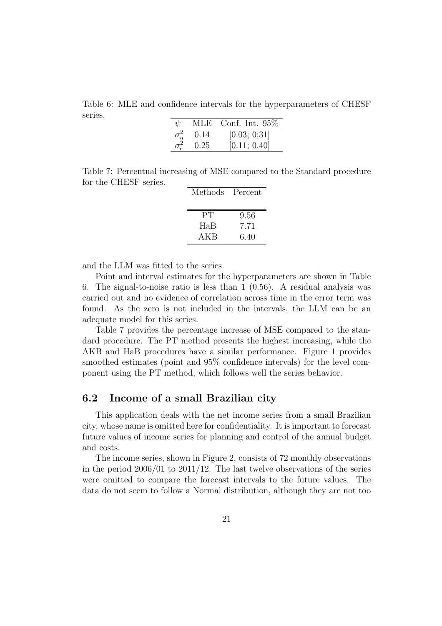Table 6: MLE and confidence intervals for the hyperparameters of CHESF series.

| ψ                   | MLE  | Conf. Int. $95\%$ |
|---------------------|------|-------------------|
|                     | 0.14 | [0.03; 0;31]      |
| $\sigma_{\epsilon}$ | 0.25 | [0.11; 0.40]      |

Table 7: Percentual increasing of MSE compared to the Standard procedure for the CHESF series.

| Methods | Percent |
|---------|---------|
|         |         |
| PT      | 9.56    |
| HaB     | 7.71    |
| AKB     | 6.40    |

and the LLM was fitted to the series.

Point and interval estimates for the hyperparameters are shown in Table 6. The signal-to-noise ratio is less than 1 (0.56). A residual analysis was carried out and no evidence of correlation across time in the error term was found. As the zero is not included in the intervals, the LLM can be an adequate model for this series.

Table 7 provides the percentage increase of MSE compared to the standard procedure. The PT method presents the highest increasing, while the AKB and HaB procedures have a similar performance. Figure 1 provides smoothed estimates (point and 95% confidence intervals) for the level component using the PT method, which follows well the series behavior.

#### 6.2 Income of a small Brazilian city

This application deals with the net income series from a small Brazilian city, whose name is omitted here for confidentiality. It is important to forecast future values of income series for planning and control of the annual budget and costs.

The income series, shown in Figure 2, consists of 72 monthly observations in the period  $2006/01$  to  $2011/12$ . The last twelve observations of the series were omitted to compare the forecast intervals to the future values. The data do not seem to follow a Normal distribution, although they are not too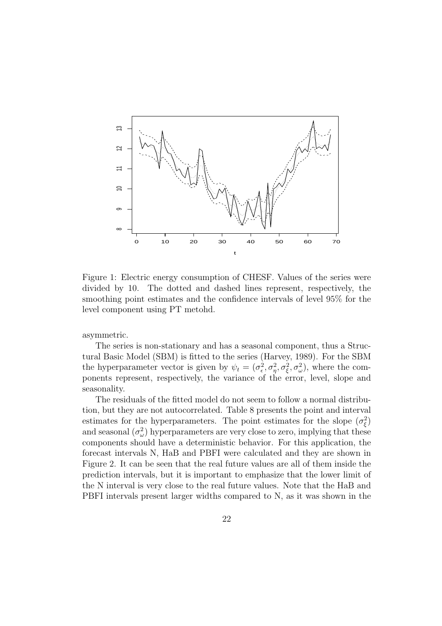

Figure 1: Electric energy consumption of CHESF. Values of the series were divided by 10. The dotted and dashed lines represent, respectively, the smoothing point estimates and the confidence intervals of level 95% for the level component using PT metohd.

asymmetric.

The series is non-stationary and has a seasonal component, thus a Structural Basic Model (SBM) is fitted to the series (Harvey, 1989). For the SBM the hyperparameter vector is given by  $\psi_t = (\sigma_{\epsilon}^2, \sigma_{\eta}^2, \sigma_{\xi}^2, \sigma_{\omega}^2)$ , where the components represent, respectively, the variance of the error, level, slope and seasonality.

The residuals of the fitted model do not seem to follow a normal distribution, but they are not autocorrelated. Table 8 presents the point and interval estimates for the hyperparameters. The point estimates for the slope  $(\sigma_{\xi}^2)$ and seasonal  $(\sigma_{\omega}^2)$  hyperparameters are very close to zero, implying that these components should have a deterministic behavior. For this application, the forecast intervals N, HaB and PBFI were calculated and they are shown in Figure 2. It can be seen that the real future values are all of them inside the prediction intervals, but it is important to emphasize that the lower limit of the N interval is very close to the real future values. Note that the HaB and PBFI intervals present larger widths compared to N, as it was shown in the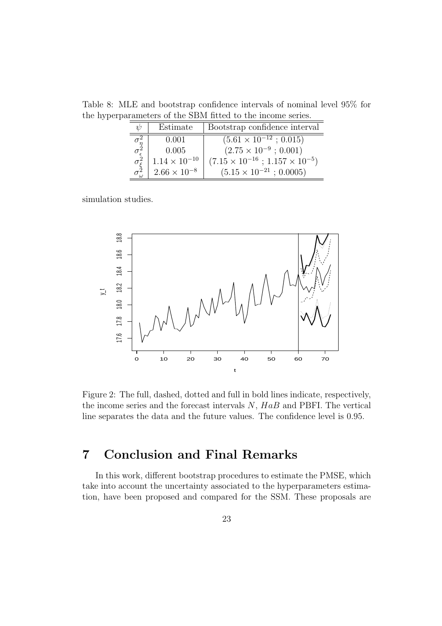Table 8: MLE and bootstrap confidence intervals of nominal level 95% for the hyperparameters of the SBM fitted to the income series.

| W | Estimate               | Bootstrap confidence interval                   |
|---|------------------------|-------------------------------------------------|
|   | 0.001                  | $(5.61 \times 10^{-12} \div 0.015)$             |
|   | 0.005                  | $(2.75 \times 10^{-9} ; 0.001)$                 |
|   | $1.14 \times 10^{-10}$ | $(7.15 \times 10^{-16} ; 1.157 \times 10^{-5})$ |
|   | $2.66 \times 10^{-8}$  | $(5.15 \times 10^{-21} ; 0.0005)$               |

simulation studies.



Figure 2: The full, dashed, dotted and full in bold lines indicate, respectively, the income series and the forecast intervals  $N$ ,  $HaB$  and PBFI. The vertical line separates the data and the future values. The confidence level is 0.95.

## 7 Conclusion and Final Remarks

In this work, different bootstrap procedures to estimate the PMSE, which take into account the uncertainty associated to the hyperparameters estimation, have been proposed and compared for the SSM. These proposals are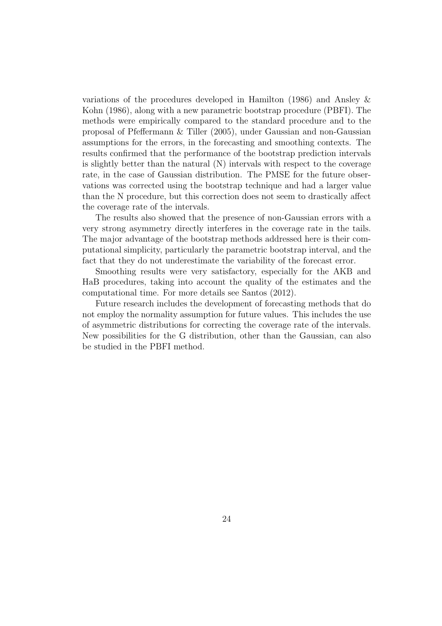variations of the procedures developed in Hamilton (1986) and Ansley & Kohn (1986), along with a new parametric bootstrap procedure (PBFI). The methods were empirically compared to the standard procedure and to the proposal of Pfeffermann & Tiller (2005), under Gaussian and non-Gaussian assumptions for the errors, in the forecasting and smoothing contexts. The results confirmed that the performance of the bootstrap prediction intervals is slightly better than the natural (N) intervals with respect to the coverage rate, in the case of Gaussian distribution. The PMSE for the future observations was corrected using the bootstrap technique and had a larger value than the N procedure, but this correction does not seem to drastically affect the coverage rate of the intervals.

The results also showed that the presence of non-Gaussian errors with a very strong asymmetry directly interferes in the coverage rate in the tails. The major advantage of the bootstrap methods addressed here is their computational simplicity, particularly the parametric bootstrap interval, and the fact that they do not underestimate the variability of the forecast error.

Smoothing results were very satisfactory, especially for the AKB and HaB procedures, taking into account the quality of the estimates and the computational time. For more details see Santos (2012).

Future research includes the development of forecasting methods that do not employ the normality assumption for future values. This includes the use of asymmetric distributions for correcting the coverage rate of the intervals. New possibilities for the G distribution, other than the Gaussian, can also be studied in the PBFI method.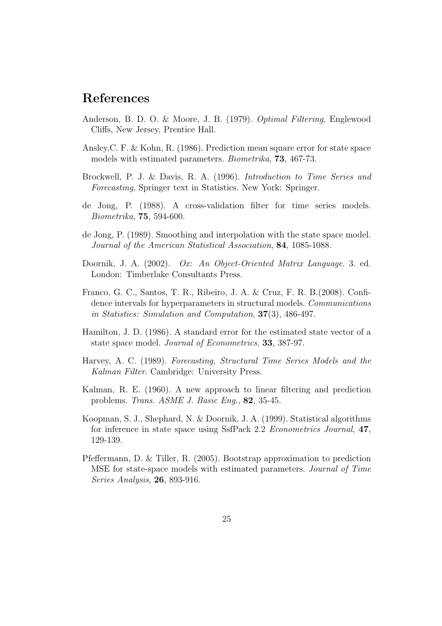## References

- Anderson, B. D. O. & Moore, J. B. (1979). Optimal Filtering, Englewood Cliffs, New Jersey, Prentice Hall.
- Ansley,C. F. & Kohn, R. (1986). Prediction mean square error for state space models with estimated parameters. Biometrika, 73, 467-73.
- Brockwell, P. J. & Davis, R. A. (1996). Introduction to Time Series and Forecasting, Springer text in Statistics. New York: Springer.
- de Jong, P. (1988). A cross-validation filter for time series models. Biometrika, 75, 594-600.
- de Jong, P. (1989). Smoothing and interpolation with the state space model. Journal of the American Statistical Association, 84, 1085-1088.
- Doornik, J. A. (2002). Ox: An Object-Oriented Matrix Language. 3. ed. London: Timberlake Consultants Press.
- Franco, G. C., Santos, T. R., Ribeiro, J. A. & Cruz, F. R. B.(2008). Confidence intervals for hyperparameters in structural models. Communications in Statistics: Simulation and Computation, 37(3), 486-497.
- Hamilton, J. D. (1986). A standard error for the estimated state vector of a state space model. Journal of Econometrics, 33, 387-97.
- Harvey, A. C. (1989). Forecasting, Structural Time Series Models and the Kalman Filter. Cambridge: University Press.
- Kalman, R. E. (1960). A new approach to linear filtering and prediction problems. Trans. ASME J. Basic Eng., 82, 35-45.
- Koopman, S. J., Shephard, N. & Doornik, J. A. (1999). Statistical algorithms for inference in state space using SsfPack 2.2 Econometrics Journal, 47, 129-139.
- Pfeffermann, D. & Tiller, R. (2005). Bootstrap approximation to prediction MSE for state-space models with estimated parameters. Journal of Time Series Analysis, 26, 893-916.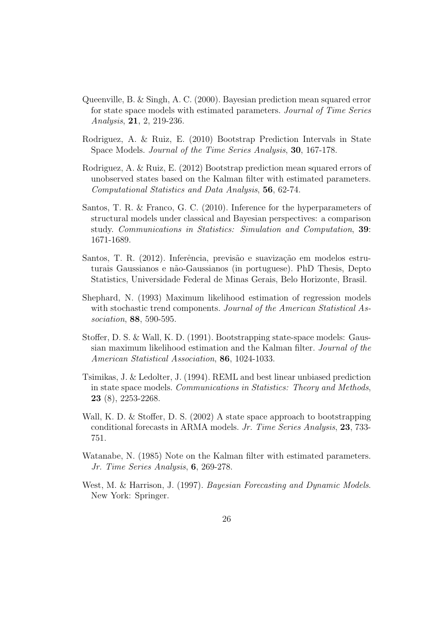- Queenville, B. & Singh, A. C. (2000). Bayesian prediction mean squared error for state space models with estimated parameters. Journal of Time Series Analysis, 21, 2, 219-236.
- Rodriguez, A. & Ruiz, E. (2010) Bootstrap Prediction Intervals in State Space Models. Journal of the Time Series Analysis, 30, 167-178.
- Rodriguez, A. & Ruiz, E. (2012) Bootstrap prediction mean squared errors of unobserved states based on the Kalman filter with estimated parameters. Computational Statistics and Data Analysis, 56, 62-74.
- Santos, T. R. & Franco, G. C. (2010). Inference for the hyperparameters of structural models under classical and Bayesian perspectives: a comparison study. Communications in Statistics: Simulation and Computation, 39: 1671-1689.
- Santos, T. R. (2012). Inferência, previsão e suavização em modelos estruturais Gaussianos e não-Gaussianos (in portuguese). PhD Thesis, Depto Statistics, Universidade Federal de Minas Gerais, Belo Horizonte, Brasil.
- Shephard, N. (1993) Maximum likelihood estimation of regression models with stochastic trend components. Journal of the American Statistical Association, 88, 590-595.
- Stoffer, D. S. & Wall, K. D. (1991). Bootstrapping state-space models: Gaussian maximum likelihood estimation and the Kalman filter. Journal of the American Statistical Association, 86, 1024-1033.
- Tsimikas, J. & Ledolter, J. (1994). REML and best linear unbiased prediction in state space models. Communications in Statistics: Theory and Methods, 23 (8), 2253-2268.
- Wall, K. D. & Stoffer, D. S. (2002) A state space approach to bootstrapping conditional forecasts in ARMA models. Jr. Time Series Analysis, 23, 733- 751.
- Watanabe, N. (1985) Note on the Kalman filter with estimated parameters. Jr. Time Series Analysis, 6, 269-278.
- West, M. & Harrison, J. (1997). Bayesian Forecasting and Dynamic Models. New York: Springer.